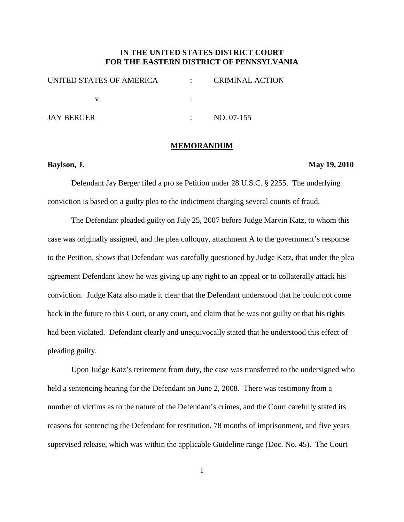## **IN THE UNITED STATES DISTRICT COURT FOR THE EASTERN DISTRICT OF PENNSYLVANIA**

| UNITED STATES OF AMERICA | <b>CRIMINAL ACTION</b> |
|--------------------------|------------------------|
|                          |                        |
| <b>JAY BERGER</b>        | NO. 07-155             |

#### **MEMORANDUM**

## **Baylson, J. May 19, 2010**

Defendant Jay Berger filed a pro se Petition under 28 U.S.C. § 2255. The underlying conviction is based on a guilty plea to the indictment charging several counts of fraud.

The Defendant pleaded guilty on July 25, 2007 before Judge Marvin Katz, to whom this case was originally assigned, and the plea colloquy, attachment A to the government's response to the Petition, shows that Defendant was carefully questioned by Judge Katz, that under the plea agreement Defendant knew he was giving up any right to an appeal or to collaterally attack his conviction. Judge Katz also made it clear that the Defendant understood that he could not come back in the future to this Court, or any court, and claim that he was not guilty or that his rights had been violated. Defendant clearly and unequivocally stated that he understood this effect of pleading guilty.

Upon Judge Katz's retirement from duty, the case was transferred to the undersigned who held a sentencing hearing for the Defendant on June 2, 2008. There was testimony from a number of victims as to the nature of the Defendant's crimes, and the Court carefully stated its reasons for sentencing the Defendant for restitution, 78 months of imprisonment, and five years supervised release, which was within the applicable Guideline range (Doc. No. 45). The Court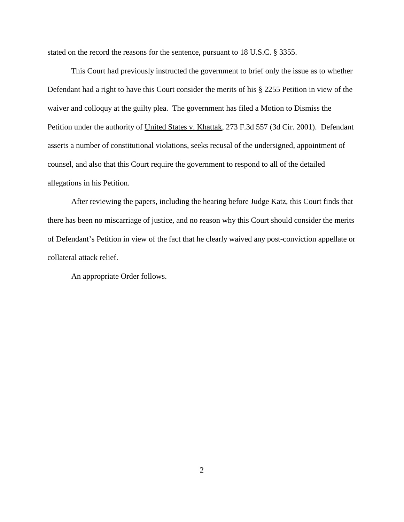stated on the record the reasons for the sentence, pursuant to 18 U.S.C. § 3355.

This Court had previously instructed the government to brief only the issue as to whether Defendant had a right to have this Court consider the merits of his § 2255 Petition in view of the waiver and colloquy at the guilty plea. The government has filed a Motion to Dismiss the Petition under the authority of United States v. Khattak, 273 F.3d 557 (3d Cir. 2001). Defendant asserts a number of constitutional violations, seeks recusal of the undersigned, appointment of counsel, and also that this Court require the government to respond to all of the detailed allegations in his Petition.

After reviewing the papers, including the hearing before Judge Katz, this Court finds that there has been no miscarriage of justice, and no reason why this Court should consider the merits of Defendant's Petition in view of the fact that he clearly waived any post-conviction appellate or collateral attack relief.

An appropriate Order follows.